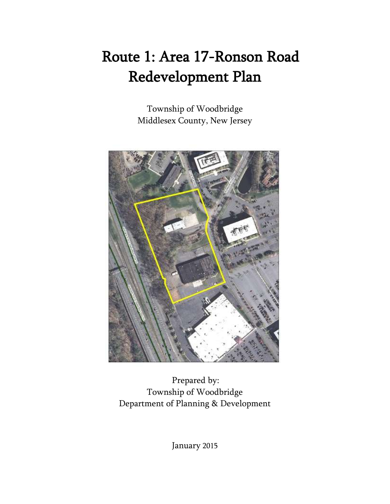# Route 1: Area 17-Ronson Road Redevelopment Plan

Township of Woodbridge Middlesex County, New Jersey



Prepared by: Township of Woodbridge Department of Planning & Development

January 2015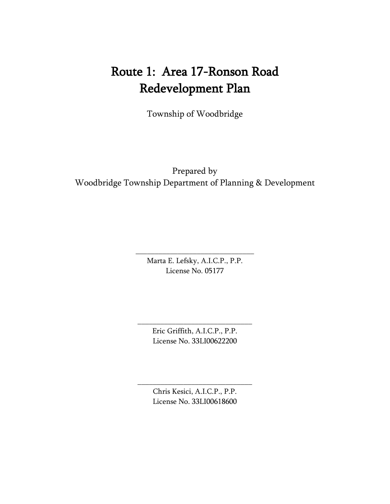## Route 1: Area 17-Ronson Road Redevelopment Plan

Township of Woodbridge

Prepared by Woodbridge Township Department of Planning & Development

> Marta E. Lefsky, A.I.C.P., P.P. License No. 05177

\_\_\_\_\_\_\_\_\_\_\_\_\_\_\_\_\_\_\_\_\_\_\_\_\_\_\_\_\_\_\_

Eric Griffith, A.I.C.P., P.P. License No. 33LI00622200

\_\_\_\_\_\_\_\_\_\_\_\_\_\_\_\_\_\_\_\_\_\_\_\_\_\_\_\_\_\_

Chris Kesici, A.I.C.P., P.P. License No. 33LI00618600

\_\_\_\_\_\_\_\_\_\_\_\_\_\_\_\_\_\_\_\_\_\_\_\_\_\_\_\_\_\_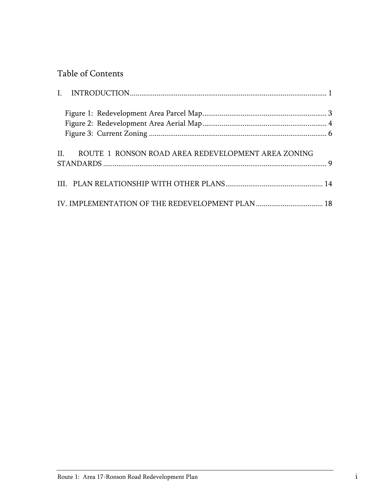## Table of Contents

| ROUTE 1 RONSON ROAD AREA REDEVELOPMENT AREA ZONING<br>$\mathbf{H}$ |  |
|--------------------------------------------------------------------|--|
|                                                                    |  |
|                                                                    |  |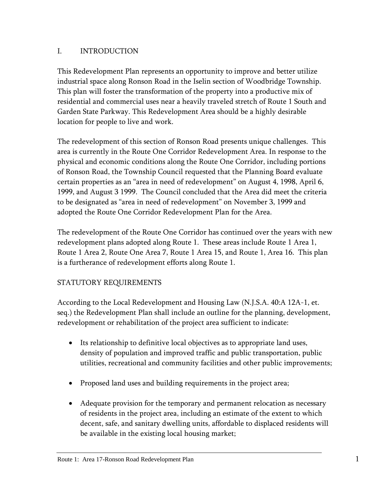## <span id="page-3-0"></span>I. INTRODUCTION

This Redevelopment Plan represents an opportunity to improve and better utilize industrial space along Ronson Road in the Iselin section of Woodbridge Township. This plan will foster the transformation of the property into a productive mix of residential and commercial uses near a heavily traveled stretch of Route 1 South and Garden State Parkway. This Redevelopment Area should be a highly desirable location for people to live and work.

The redevelopment of this section of Ronson Road presents unique challenges. This area is currently in the Route One Corridor Redevelopment Area. In response to the physical and economic conditions along the Route One Corridor, including portions of Ronson Road, the Township Council requested that the Planning Board evaluate certain properties as an "area in need of redevelopment" on August 4, 1998, April 6, 1999, and August 3 1999. The Council concluded that the Area did meet the criteria to be designated as "area in need of redevelopment" on November 3, 1999 and adopted the Route One Corridor Redevelopment Plan for the Area.

The redevelopment of the Route One Corridor has continued over the years with new redevelopment plans adopted along Route 1. These areas include Route 1 Area 1, Route 1 Area 2, Route One Area 7, Route 1 Area 15, and Route 1, Area 16. This plan is a furtherance of redevelopment efforts along Route 1.

## STATUTORY REQUIREMENTS

According to the Local Redevelopment and Housing Law (N.J.S.A. 40:A 12A-1, et. seq.) the Redevelopment Plan shall include an outline for the planning, development, redevelopment or rehabilitation of the project area sufficient to indicate:

- Its relationship to definitive local objectives as to appropriate land uses, density of population and improved traffic and public transportation, public utilities, recreational and community facilities and other public improvements;
- Proposed land uses and building requirements in the project area;
- Adequate provision for the temporary and permanent relocation as necessary of residents in the project area, including an estimate of the extent to which decent, safe, and sanitary dwelling units, affordable to displaced residents will be available in the existing local housing market;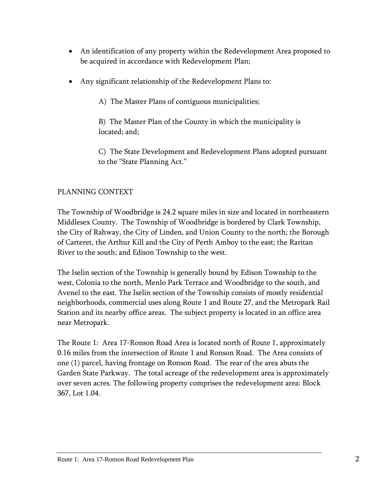- An identification of any property within the Redevelopment Area proposed to be acquired in accordance with Redevelopment Plan;
- Any significant relationship of the Redevelopment Plans to:

A) The Master Plans of contiguous municipalities;

B) The Master Plan of the County in which the municipality is located; and;

C) The State Development and Redevelopment Plans adopted pursuant to the "State Planning Act."

## PLANNING CONTEXT

The Township of Woodbridge is 24.2 square miles in size and located in northeastern Middlesex County. The Township of Woodbridge is bordered by Clark Township, the City of Rahway, the City of Linden, and Union County to the north; the Borough of Carteret, the Arthur Kill and the City of Perth Amboy to the east; the Raritan River to the south; and Edison Township to the west.

The Iselin section of the Township is generally bound by Edison Township to the west, Colonia to the north, Menlo Park Terrace and Woodbridge to the south, and Avenel to the east. The Iselin section of the Township consists of mostly residential neighborhoods, commercial uses along Route 1 and Route 27, and the Metropark Rail Station and its nearby office areas. The subject property is located in an office area near Metropark.

The Route 1: Area 17-Ronson Road Area is located north of Route 1, approximately 0.16 miles from the intersection of Route 1 and Ronson Road. The Area consists of one (1) parcel, having frontage on Ronson Road. The rear of the area abuts the Garden State Parkway. The total acreage of the redevelopment area is approximately over seven acres. The following property comprises the redevelopment area: Block 367, Lot 1.04.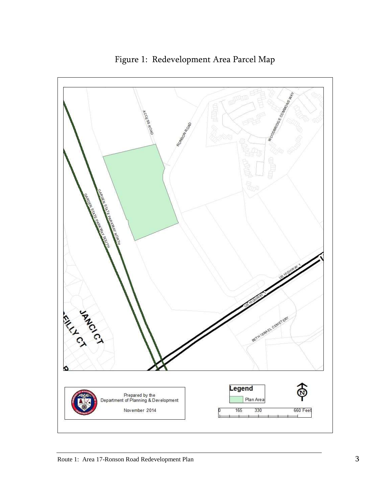<span id="page-5-0"></span>

Figure 1: Redevelopment Area Parcel Map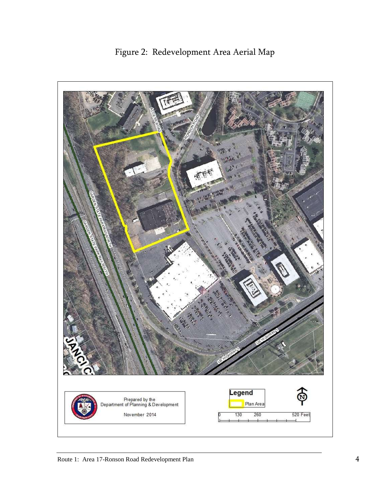<span id="page-6-0"></span>

Figure 2: Redevelopment Area Aerial Map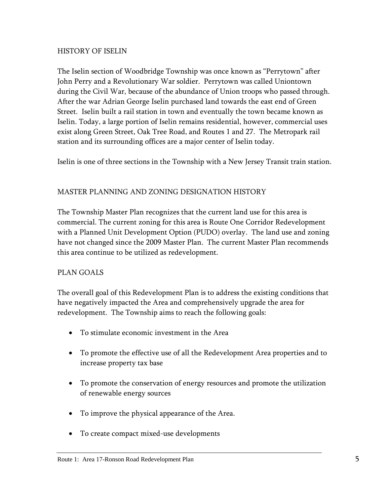#### HISTORY OF ISELIN

The Iselin section of Woodbridge Township was once known as "Perrytown" after John Perry and a Revolutionary War soldier. Perrytown was called Uniontown during the Civil War, because of the abundance of Union troops who passed through. After the war Adrian George Iselin purchased land towards the east end of Green Street. Iselin built a rail station in town and eventually the town became known as Iselin. Today, a large portion of Iselin remains residential, however, commercial uses exist along Green Street, Oak Tree Road, and Routes 1 and 27. The Metropark rail station and its surrounding offices are a major center of Iselin today.

Iselin is one of three sections in the Township with a New Jersey Transit train station.

## MASTER PLANNING AND ZONING DESIGNATION HISTORY

The Township Master Plan recognizes that the current land use for this area is commercial. The current zoning for this area is Route One Corridor Redevelopment with a Planned Unit Development Option (PUDO) overlay. The land use and zoning have not changed since the 2009 Master Plan. The current Master Plan recommends this area continue to be utilized as redevelopment.

## PLAN GOALS

The overall goal of this Redevelopment Plan is to address the existing conditions that have negatively impacted the Area and comprehensively upgrade the area for redevelopment. The Township aims to reach the following goals:

- To stimulate economic investment in the Area
- To promote the effective use of all the Redevelopment Area properties and to increase property tax base
- To promote the conservation of energy resources and promote the utilization of renewable energy sources
- To improve the physical appearance of the Area.
- To create compact mixed-use developments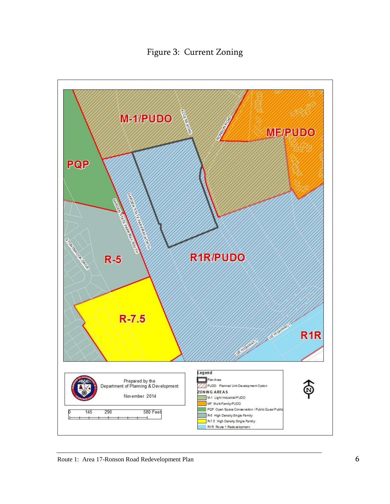Figure 3: Current Zoning

<span id="page-8-0"></span>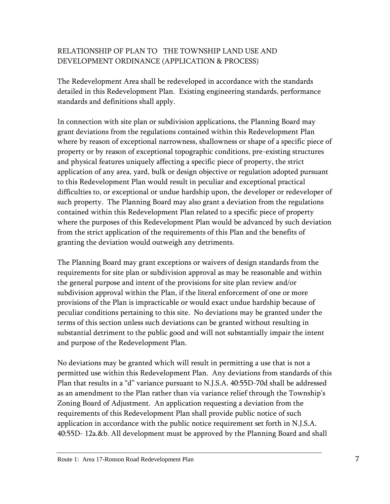## RELATIONSHIP OF PLAN TO THE TOWNSHIP LAND USE AND DEVELOPMENT ORDINANCE (APPLICATION & PROCESS)

The Redevelopment Area shall be redeveloped in accordance with the standards detailed in this Redevelopment Plan. Existing engineering standards, performance standards and definitions shall apply.

In connection with site plan or subdivision applications, the Planning Board may grant deviations from the regulations contained within this Redevelopment Plan where by reason of exceptional narrowness, shallowness or shape of a specific piece of property or by reason of exceptional topographic conditions, pre-existing structures and physical features uniquely affecting a specific piece of property, the strict application of any area, yard, bulk or design objective or regulation adopted pursuant to this Redevelopment Plan would result in peculiar and exceptional practical difficulties to, or exceptional or undue hardship upon, the developer or redeveloper of such property. The Planning Board may also grant a deviation from the regulations contained within this Redevelopment Plan related to a specific piece of property where the purposes of this Redevelopment Plan would be advanced by such deviation from the strict application of the requirements of this Plan and the benefits of granting the deviation would outweigh any detriments.

The Planning Board may grant exceptions or waivers of design standards from the requirements for site plan or subdivision approval as may be reasonable and within the general purpose and intent of the provisions for site plan review and/or subdivision approval within the Plan, if the literal enforcement of one or more provisions of the Plan is impracticable or would exact undue hardship because of peculiar conditions pertaining to this site. No deviations may be granted under the terms of this section unless such deviations can be granted without resulting in substantial detriment to the public good and will not substantially impair the intent and purpose of the Redevelopment Plan.

No deviations may be granted which will result in permitting a use that is not a permitted use within this Redevelopment Plan. Any deviations from standards of this Plan that results in a "d" variance pursuant to N.J.S.A. 40:55D-70d shall be addressed as an amendment to the Plan rather than via variance relief through the Township's Zoning Board of Adjustment. An application requesting a deviation from the requirements of this Redevelopment Plan shall provide public notice of such application in accordance with the public notice requirement set forth in N.J.S.A. 40:55D- 12a.&b. All development must be approved by the Planning Board and shall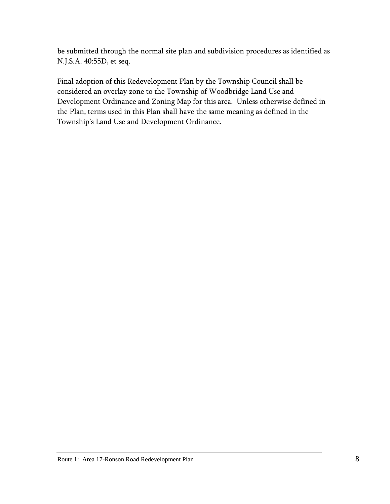be submitted through the normal site plan and subdivision procedures as identified as N.J.S.A. 40:55D, et seq.

<span id="page-10-0"></span>Final adoption of this Redevelopment Plan by the Township Council shall be considered an overlay zone to the Township of Woodbridge Land Use and Development Ordinance and Zoning Map for this area. Unless otherwise defined in the Plan, terms used in this Plan shall have the same meaning as defined in the Township's Land Use and Development Ordinance.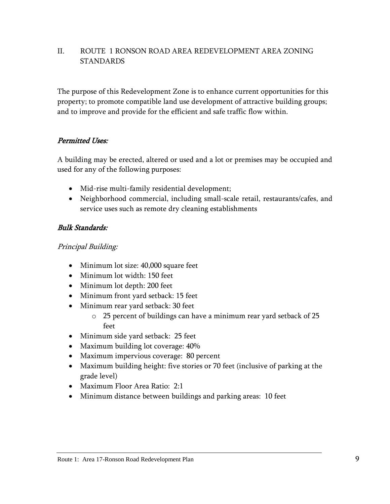## II. ROUTE 1 RONSON ROAD AREA REDEVELOPMENT AREA ZONING STANDARDS

The purpose of this Redevelopment Zone is to enhance current opportunities for this property; to promote compatible land use development of attractive building groups; and to improve and provide for the efficient and safe traffic flow within.

## Permitted Uses:

A building may be erected, altered or used and a lot or premises may be occupied and used for any of the following purposes:

- Mid-rise multi-family residential development;
- Neighborhood commercial, including small-scale retail, restaurants/cafes, and service uses such as remote dry cleaning establishments

## Bulk Standards:

Principal Building:

- Minimum lot size: 40,000 square feet
- Minimum lot width: 150 feet
- Minimum lot depth: 200 feet
- Minimum front yard setback: 15 feet
- Minimum rear yard setback: 30 feet
	- o 25 percent of buildings can have a minimum rear yard setback of 25 feet
- Minimum side yard setback: 25 feet
- Maximum building lot coverage: 40%
- Maximum impervious coverage: 80 percent
- Maximum building height: five stories or 70 feet (inclusive of parking at the grade level)
- Maximum Floor Area Ratio: 2:1
- Minimum distance between buildings and parking areas: 10 feet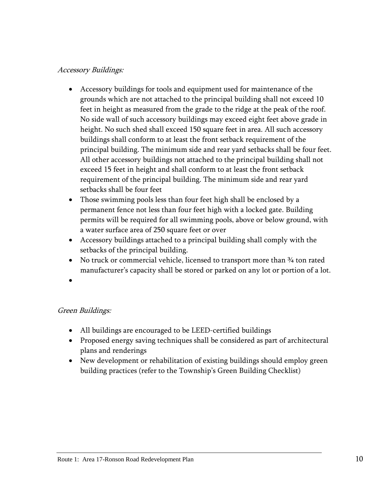## Accessory Buildings:

- Accessory buildings for tools and equipment used for maintenance of the grounds which are not attached to the principal building shall not exceed 10 feet in height as measured from the grade to the ridge at the peak of the roof. No side wall of such accessory buildings may exceed eight feet above grade in height. No such shed shall exceed 150 square feet in area. All such accessory buildings shall conform to at least the front setback requirement of the principal building. The minimum side and rear yard setbacks shall be four feet. All other accessory buildings not attached to the principal building shall not exceed 15 feet in height and shall conform to at least the front setback requirement of the principal building. The minimum side and rear yard setbacks shall be four feet
- Those swimming pools less than four feet high shall be enclosed by a permanent fence not less than four feet high with a locked gate. Building permits will be required for all swimming pools, above or below ground, with a water surface area of 250 square feet or over
- Accessory buildings attached to a principal building shall comply with the setbacks of the principal building.
- No truck or commercial vehicle, licensed to transport more than  $\frac{3}{4}$  ton rated manufacturer's capacity shall be stored or parked on any lot or portion of a lot.
- $\bullet$

#### Green Buildings:

- All buildings are encouraged to be LEED-certified buildings
- Proposed energy saving techniques shall be considered as part of architectural plans and renderings
- New development or rehabilitation of existing buildings should employ green building practices (refer to the Township's Green Building Checklist)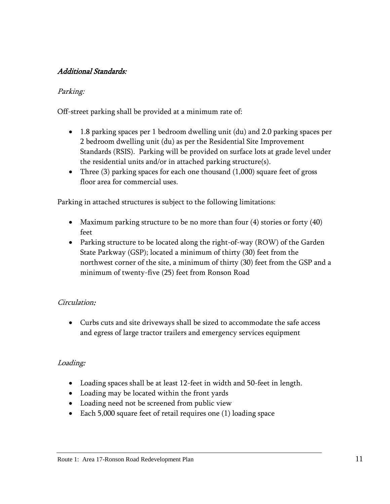## Additional Standards:

## Parking:

Off-street parking shall be provided at a minimum rate of:

- 1.8 parking spaces per 1 bedroom dwelling unit (du) and 2.0 parking spaces per 2 bedroom dwelling unit (du) as per the Residential Site Improvement Standards (RSIS). Parking will be provided on surface lots at grade level under the residential units and/or in attached parking structure(s).
- Three (3) parking spaces for each one thousand (1,000) square feet of gross floor area for commercial uses.

Parking in attached structures is subject to the following limitations:

- Maximum parking structure to be no more than four (4) stories or forty (40) feet
- Parking structure to be located along the right-of-way (ROW) of the Garden State Parkway (GSP); located a minimum of thirty (30) feet from the northwest corner of the site, a minimum of thirty (30) feet from the GSP and a minimum of twenty-five (25) feet from Ronson Road

## Circulation:

 Curbs cuts and site driveways shall be sized to accommodate the safe access and egress of large tractor trailers and emergency services equipment

## Loading:

- Loading spaces shall be at least 12-feet in width and 50-feet in length.
- Loading may be located within the front yards
- Loading need not be screened from public view
- Each 5,000 square feet of retail requires one (1) loading space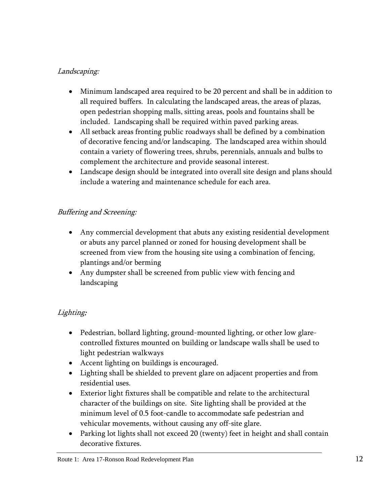## Landscaping:

- Minimum landscaped area required to be 20 percent and shall be in addition to all required buffers. In calculating the landscaped areas, the areas of plazas, open pedestrian shopping malls, sitting areas, pools and fountains shall be included. Landscaping shall be required within paved parking areas.
- All setback areas fronting public roadways shall be defined by a combination of decorative fencing and/or landscaping. The landscaped area within should contain a variety of flowering trees, shrubs, perennials, annuals and bulbs to complement the architecture and provide seasonal interest.
- Landscape design should be integrated into overall site design and plans should include a watering and maintenance schedule for each area.

## Buffering and Screening:

- Any commercial development that abuts any existing residential development or abuts any parcel planned or zoned for housing development shall be screened from view from the housing site using a combination of fencing, plantings and/or berming
- Any dumpster shall be screened from public view with fencing and landscaping

## Lighting:

- Pedestrian, bollard lighting, ground-mounted lighting, or other low glarecontrolled fixtures mounted on building or landscape walls shall be used to light pedestrian walkways
- Accent lighting on buildings is encouraged.
- Lighting shall be shielded to prevent glare on adjacent properties and from residential uses.
- Exterior light fixtures shall be compatible and relate to the architectural character of the buildings on site. Site lighting shall be provided at the minimum level of 0.5 foot-candle to accommodate safe pedestrian and vehicular movements, without causing any off-site glare.
- Parking lot lights shall not exceed 20 (twenty) feet in height and shall contain decorative fixtures.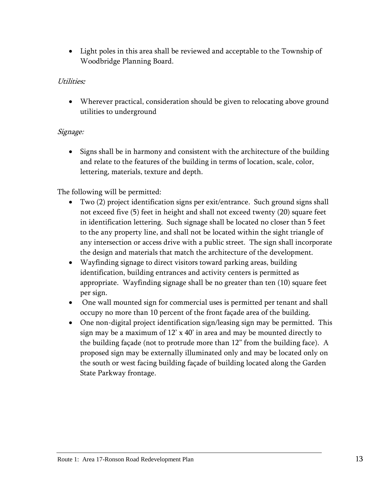Light poles in this area shall be reviewed and acceptable to the Township of Woodbridge Planning Board.

## Utilities:

 Wherever practical, consideration should be given to relocating above ground utilities to underground

## Signage:

• Signs shall be in harmony and consistent with the architecture of the building and relate to the features of the building in terms of location, scale, color, lettering, materials, texture and depth.

The following will be permitted:

- Two (2) project identification signs per exit/entrance. Such ground signs shall not exceed five (5) feet in height and shall not exceed twenty (20) square feet in identification lettering. Such signage shall be located no closer than 5 feet to the any property line, and shall not be located within the sight triangle of any intersection or access drive with a public street. The sign shall incorporate the design and materials that match the architecture of the development.
- Wayfinding signage to direct visitors toward parking areas, building identification, building entrances and activity centers is permitted as appropriate. Wayfinding signage shall be no greater than ten (10) square feet per sign.
- One wall mounted sign for commercial uses is permitted per tenant and shall occupy no more than 10 percent of the front façade area of the building.
- One non-digital project identification sign/leasing sign may be permitted. This sign may be a maximum of 12' x 40' in area and may be mounted directly to the building façade (not to protrude more than 12" from the building face). A proposed sign may be externally illuminated only and may be located only on the south or west facing building façade of building located along the Garden State Parkway frontage.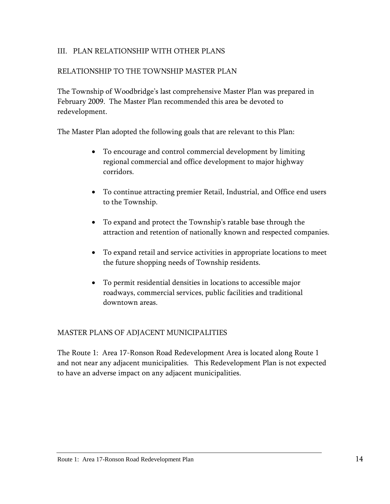## <span id="page-16-0"></span>III. PLAN RELATIONSHIP WITH OTHER PLANS

#### RELATIONSHIP TO THE TOWNSHIP MASTER PLAN

The Township of Woodbridge's last comprehensive Master Plan was prepared in February 2009. The Master Plan recommended this area be devoted to redevelopment.

The Master Plan adopted the following goals that are relevant to this Plan:

- To encourage and control commercial development by limiting regional commercial and office development to major highway corridors.
- To continue attracting premier Retail, Industrial, and Office end users to the Township.
- To expand and protect the Township's ratable base through the attraction and retention of nationally known and respected companies.
- To expand retail and service activities in appropriate locations to meet the future shopping needs of Township residents.
- To permit residential densities in locations to accessible major roadways, commercial services, public facilities and traditional downtown areas.

#### MASTER PLANS OF ADJACENT MUNICIPALITIES

The Route 1: Area 17-Ronson Road Redevelopment Area is located along Route 1 and not near any adjacent municipalities. This Redevelopment Plan is not expected to have an adverse impact on any adjacent municipalities.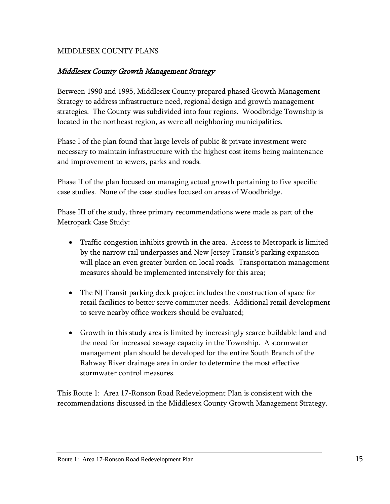## MIDDLESEX COUNTY PLANS

#### Middlesex County Growth Management Strategy

Between 1990 and 1995, Middlesex County prepared phased Growth Management Strategy to address infrastructure need, regional design and growth management strategies. The County was subdivided into four regions. Woodbridge Township is located in the northeast region, as were all neighboring municipalities.

Phase I of the plan found that large levels of public & private investment were necessary to maintain infrastructure with the highest cost items being maintenance and improvement to sewers, parks and roads.

Phase II of the plan focused on managing actual growth pertaining to five specific case studies. None of the case studies focused on areas of Woodbridge.

Phase III of the study, three primary recommendations were made as part of the Metropark Case Study:

- Traffic congestion inhibits growth in the area. Access to Metropark is limited by the narrow rail underpasses and New Jersey Transit's parking expansion will place an even greater burden on local roads. Transportation management measures should be implemented intensively for this area;
- The NJ Transit parking deck project includes the construction of space for retail facilities to better serve commuter needs. Additional retail development to serve nearby office workers should be evaluated;
- Growth in this study area is limited by increasingly scarce buildable land and the need for increased sewage capacity in the Township. A stormwater management plan should be developed for the entire South Branch of the Rahway River drainage area in order to determine the most effective stormwater control measures.

This Route 1: Area 17-Ronson Road Redevelopment Plan is consistent with the recommendations discussed in the Middlesex County Growth Management Strategy.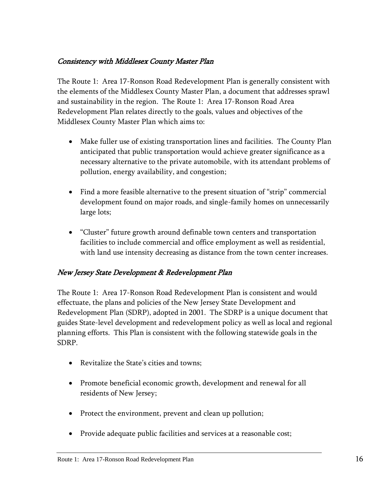## Consistency with Middlesex County Master Plan

The Route 1: Area 17-Ronson Road Redevelopment Plan is generally consistent with the elements of the Middlesex County Master Plan, a document that addresses sprawl and sustainability in the region. The Route 1: Area 17-Ronson Road Area Redevelopment Plan relates directly to the goals, values and objectives of the Middlesex County Master Plan which aims to:

- Make fuller use of existing transportation lines and facilities. The County Plan anticipated that public transportation would achieve greater significance as a necessary alternative to the private automobile, with its attendant problems of pollution, energy availability, and congestion;
- Find a more feasible alternative to the present situation of "strip" commercial development found on major roads, and single-family homes on unnecessarily large lots;
- "Cluster" future growth around definable town centers and transportation facilities to include commercial and office employment as well as residential, with land use intensity decreasing as distance from the town center increases.

## New Jersey State Development & Redevelopment Plan

The Route 1: Area 17-Ronson Road Redevelopment Plan is consistent and would effectuate, the plans and policies of the New Jersey State Development and Redevelopment Plan (SDRP), adopted in 2001. The SDRP is a unique document that guides State-level development and redevelopment policy as well as local and regional planning efforts. This Plan is consistent with the following statewide goals in the SDRP.

- Revitalize the State's cities and towns;
- Promote beneficial economic growth, development and renewal for all residents of New Jersey;
- Protect the environment, prevent and clean up pollution;
- Provide adequate public facilities and services at a reasonable cost;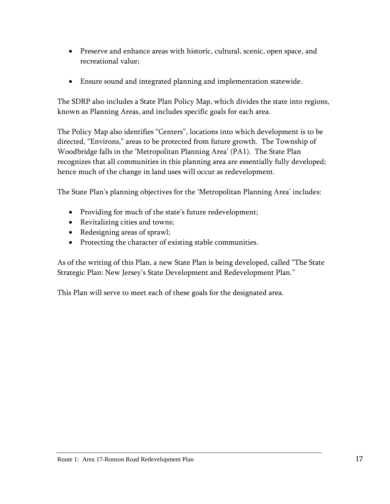- Preserve and enhance areas with historic, cultural, scenic, open space, and recreational value;
- Ensure sound and integrated planning and implementation statewide.

The SDRP also includes a State Plan Policy Map, which divides the state into regions, known as Planning Areas, and includes specific goals for each area.

The Policy Map also identifies "Centers", locations into which development is to be directed, "Environs," areas to be protected from future growth. The Township of Woodbridge falls in the 'Metropolitan Planning Area' (PA1). The State Plan recognizes that all communities in this planning area are essentially fully developed; hence much of the change in land uses will occur as redevelopment.

The State Plan's planning objectives for the 'Metropolitan Planning Area' includes:

- Providing for much of the state's future redevelopment;
- Revitalizing cities and towns;
- Redesigning areas of sprawl;
- Protecting the character of existing stable communities.

As of the writing of this Plan, a new State Plan is being developed, called "The State Strategic Plan: New Jersey's State Development and Redevelopment Plan."

This Plan will serve to meet each of these goals for the designated area.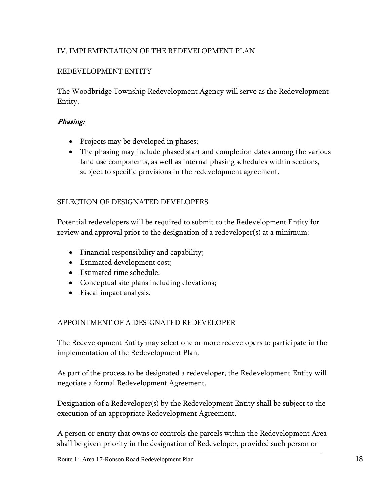## <span id="page-20-0"></span>IV. IMPLEMENTATION OF THE REDEVELOPMENT PLAN

## REDEVELOPMENT ENTITY

The Woodbridge Township Redevelopment Agency will serve as the Redevelopment Entity.

## Phasing:

- Projects may be developed in phases;
- The phasing may include phased start and completion dates among the various land use components, as well as internal phasing schedules within sections, subject to specific provisions in the redevelopment agreement.

## SELECTION OF DESIGNATED DEVELOPERS

Potential redevelopers will be required to submit to the Redevelopment Entity for review and approval prior to the designation of a redeveloper(s) at a minimum:

- Financial responsibility and capability;
- Estimated development cost;
- Estimated time schedule;
- Conceptual site plans including elevations;
- Fiscal impact analysis.

## APPOINTMENT OF A DESIGNATED REDEVELOPER

The Redevelopment Entity may select one or more redevelopers to participate in the implementation of the Redevelopment Plan.

As part of the process to be designated a redeveloper, the Redevelopment Entity will negotiate a formal Redevelopment Agreement.

Designation of a Redeveloper(s) by the Redevelopment Entity shall be subject to the execution of an appropriate Redevelopment Agreement.

A person or entity that owns or controls the parcels within the Redevelopment Area shall be given priority in the designation of Redeveloper, provided such person or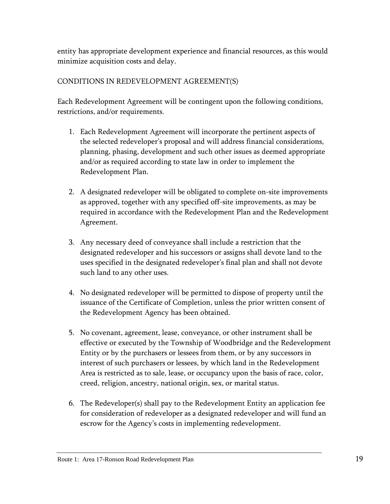entity has appropriate development experience and financial resources, as this would minimize acquisition costs and delay.

## CONDITIONS IN REDEVELOPMENT AGREEMENT(S)

Each Redevelopment Agreement will be contingent upon the following conditions, restrictions, and/or requirements.

- 1. Each Redevelopment Agreement will incorporate the pertinent aspects of the selected redeveloper's proposal and will address financial considerations, planning, phasing, development and such other issues as deemed appropriate and/or as required according to state law in order to implement the Redevelopment Plan.
- 2. A designated redeveloper will be obligated to complete on-site improvements as approved, together with any specified off-site improvements, as may be required in accordance with the Redevelopment Plan and the Redevelopment Agreement.
- 3. Any necessary deed of conveyance shall include a restriction that the designated redeveloper and his successors or assigns shall devote land to the uses specified in the designated redeveloper's final plan and shall not devote such land to any other uses.
- 4. No designated redeveloper will be permitted to dispose of property until the issuance of the Certificate of Completion, unless the prior written consent of the Redevelopment Agency has been obtained.
- 5. No covenant, agreement, lease, conveyance, or other instrument shall be effective or executed by the Township of Woodbridge and the Redevelopment Entity or by the purchasers or lessees from them, or by any successors in interest of such purchasers or lessees, by which land in the Redevelopment Area is restricted as to sale, lease, or occupancy upon the basis of race, color, creed, religion, ancestry, national origin, sex, or marital status.
- 6. The Redeveloper(s) shall pay to the Redevelopment Entity an application fee for consideration of redeveloper as a designated redeveloper and will fund an escrow for the Agency's costs in implementing redevelopment.